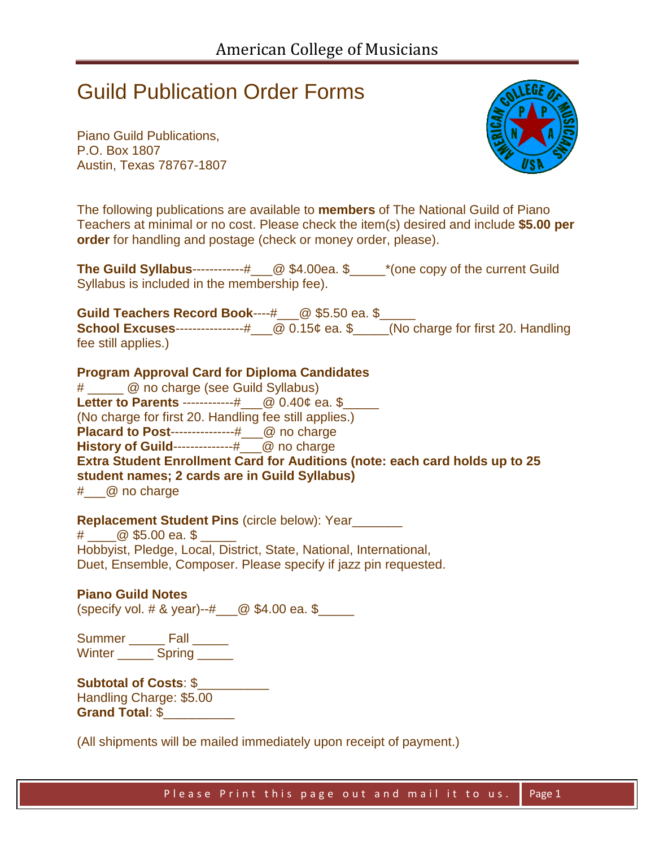## Guild Publication Order Forms

Piano Guild Publications, P.O. Box 1807 Austin, Texas 78767-1807



The following publications are available to **members** of The National Guild of Piano Teachers at minimal or no cost. Please check the item(s) desired and include **\$5.00 per order** for handling and postage (check or money order, please).

**The Guild Syllabus**------------#\_\_\_@ \$4.00ea. \$\_\_\_\_\_\*(one copy of the current Guild Syllabus is included in the membership fee).

**Guild Teachers Record Book----#** @ \$5.50 ea. \$ **School Excuses**----------------#\_\_\_@ 0.15¢ ea. \$\_\_\_\_\_(No charge for first 20. Handling fee still applies.)

**Program Approval Card for Diploma Candidates** 

# \_\_\_\_\_ @ no charge (see Guild Syllabus) **Letter to Parents ------------#** @ 0.40¢ ea. \$ (No charge for first 20. Handling fee still applies.) **Placard to Post---------------#** @ no charge **History of Guild--------------#** @ no charge **Extra Student Enrollment Card for Auditions (note: each card holds up to 25 student names; 2 cards are in Guild Syllabus)** # @ no charge

**Replacement Student Pins** (circle below): Year

 $\#$   $\oslash$  \$5.00 ea. \$ Hobbyist, Pledge, Local, District, State, National, International, Duet, Ensemble, Composer. Please specify if jazz pin requested.

**Piano Guild Notes** (specify vol. # & year)--# $\_\_\_\_\_\$  \$4.00 ea. \$

Summer \_\_\_\_\_\_\_ Fall \_\_\_\_\_\_ Winter Spring

**Subtotal of Costs**: \$\_\_\_\_\_\_\_\_\_\_ Handling Charge: \$5.00 **Grand Total**: \$\_\_\_\_\_\_\_\_\_\_

(All shipments will be mailed immediately upon receipt of payment.)